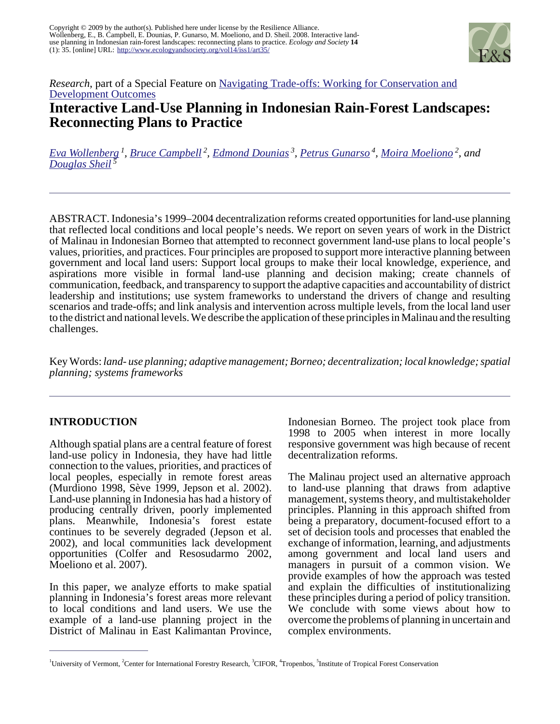

# *Research*, part of a Special Feature on [Navigating Trade-offs: Working for Conservation and](http://www.ecologyandsociety.org/viewissue.php?sf=26) [Development Outcomes](http://www.ecologyandsociety.org/viewissue.php?sf=26) **Interactive Land-Use Planning in Indonesian Rain-Forest Landscapes: Reconnecting Plans to Practice**

*[Eva Wollenberg](mailto:lini.wollenberg@uvm.edu)<sup>1</sup> , [Bruce Campbell](mailto:bruce.campbell@cdu.edu.au)<sup>2</sup> , [Edmond Dounias](mailto:e.dounias@cgiar.org)<sup>3</sup> , [Petrus Gunarso](mailto:tropenbos@telkom.net)<sup>4</sup> , [Moira Moeliono](mailto:m.moeliono@cgiar.org)<sup>2</sup>, and [Douglas Sheil](mailto:douglassheil@itfc.org)<sup>5</sup>*

ABSTRACT. Indonesia's 1999–2004 decentralization reforms created opportunities for land-use planning that reflected local conditions and local people's needs. We report on seven years of work in the District of Malinau in Indonesian Borneo that attempted to reconnect government land-use plans to local people's values, priorities, and practices. Four principles are proposed to support more interactive planning between government and local land users: Support local groups to make their local knowledge, experience, and aspirations more visible in formal land-use planning and decision making; create channels of communication, feedback, and transparency to support the adaptive capacities and accountability of district leadership and institutions; use system frameworks to understand the drivers of change and resulting scenarios and trade-offs; and link analysis and intervention across multiple levels, from the local land user to the district and national levels. We describe the application of these principles in Malinau and the resulting challenges.

Key Words: *land- use planning; adaptive management; Borneo; decentralization; local knowledge; spatial planning; systems frameworks*

## **INTRODUCTION**

Although spatial plans are a central feature of forest land-use policy in Indonesia, they have had little connection to the values, priorities, and practices of local peoples, especially in remote forest areas (Murdiono 1998, Sève 1999, Jepson et al. 2002). Land-use planning in Indonesia has had a history of producing centrally driven, poorly implemented plans. Meanwhile, Indonesia's forest estate continues to be severely degraded (Jepson et al. 2002), and local communities lack development opportunities (Colfer and Resosudarmo 2002, Moeliono et al. 2007).

In this paper, we analyze efforts to make spatial planning in Indonesia's forest areas more relevant to local conditions and land users. We use the example of a land-use planning project in the District of Malinau in East Kalimantan Province,

Indonesian Borneo. The project took place from 1998 to 2005 when interest in more locally responsive government was high because of recent decentralization reforms.

The Malinau project used an alternative approach to land-use planning that draws from adaptive management, systems theory, and multistakeholder principles. Planning in this approach shifted from being a preparatory, document-focused effort to a set of decision tools and processes that enabled the exchange of information, learning, and adjustments among government and local land users and managers in pursuit of a common vision. We provide examples of how the approach was tested and explain the difficulties of institutionalizing these principles during a period of policy transition. We conclude with some views about how to overcome the problems of planning in uncertain and complex environments.

<sup>&</sup>lt;sup>1</sup>University of Vermont, <sup>2</sup>Center for International Forestry Research, <sup>3</sup>CIFOR, <sup>4</sup>Tropenbos, <sup>5</sup>Institute of Tropical Forest Conservation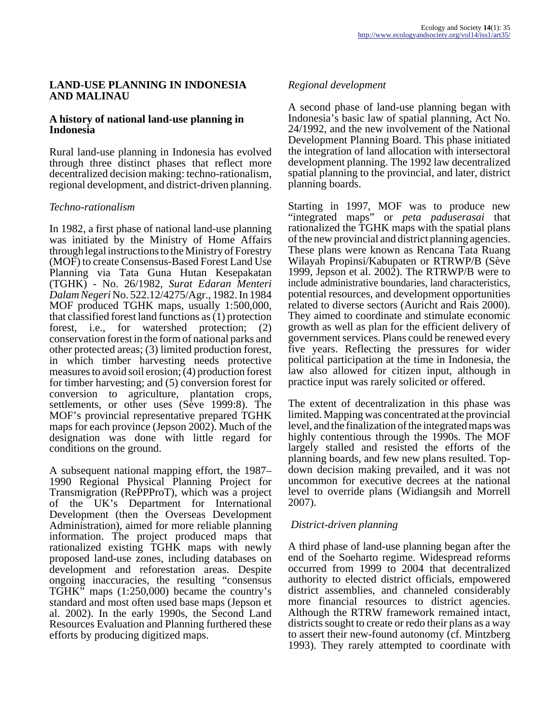### **LAND-USE PLANNING IN INDONESIA AND MALINAU**

### **A history of national land-use planning in Indonesia**

Rural land-use planning in Indonesia has evolved through three distinct phases that reflect more decentralized decision making: techno-rationalism, regional development, and district-driven planning.

### *Techno-rationalism*

In 1982, a first phase of national land-use planning was initiated by the Ministry of Home Affairs through legal instructions to the Ministry of Forestry (MOF) to create Consensus-Based Forest Land Use Planning via Tata Guna Hutan Kesepakatan (TGHK) - No. 26/1982, *Surat Edaran Menteri Dalam Negeri* No. 522.12/4275/Agr., 1982. In 1984 MOF produced TGHK maps, usually 1:500,000, that classified forest land functions as (1) protection forest, i.e., for watershed protection; (2) conservation forest in the form of national parks and other protected areas; (3) limited production forest, in which timber harvesting needs protective measures to avoid soil erosion; (4) production forest for timber harvesting; and (5) conversion forest for conversion to agriculture, plantation crops, settlements, or other uses (Sève 1999:8). The MOF's provincial representative prepared TGHK maps for each province (Jepson 2002). Much of the designation was done with little regard for conditions on the ground.

A subsequent national mapping effort, the 1987– 1990 Regional Physical Planning Project for Transmigration (RePPProT), which was a project of the UK's Department for International Development (then the Overseas Development Administration), aimed for more reliable planning information. The project produced maps that rationalized existing TGHK maps with newly proposed land-use zones, including databases on development and reforestation areas. Despite ongoing inaccuracies, the resulting "consensus TGHK" maps (1:250,000) became the country's standard and most often used base maps (Jepson et al. 2002). In the early 1990s, the Second Land Resources Evaluation and Planning furthered these efforts by producing digitized maps.

## *Regional development*

A second phase of land-use planning began with Indonesia's basic law of spatial planning, Act No. 24/1992, and the new involvement of the National Development Planning Board. This phase initiated the integration of land allocation with intersectoral development planning. The 1992 law decentralized spatial planning to the provincial, and later, district planning boards.

Starting in 1997, MOF was to produce new "integrated maps" or *peta paduserasai* that rationalized the TGHK maps with the spatial plans of the new provincial and district planning agencies. These plans were known as Rencana Tata Ruang Wilayah Propinsi/Kabupaten or RTRWP/B (Sève 1999, Jepson et al. 2002). The RTRWP/B were to include administrative boundaries, land characteristics, potential resources, and development opportunities related to diverse sectors (Auricht and Rais 2000). They aimed to coordinate and stimulate economic growth as well as plan for the efficient delivery of government services. Plans could be renewed every five years. Reflecting the pressures for wider political participation at the time in Indonesia, the law also allowed for citizen input, although in practice input was rarely solicited or offered.

The extent of decentralization in this phase was limited. Mapping was concentrated at the provincial level, and the finalization of the integrated maps was highly contentious through the 1990s. The MOF largely stalled and resisted the efforts of the planning boards, and few new plans resulted. Topdown decision making prevailed, and it was not uncommon for executive decrees at the national level to override plans (Widiangsih and Morrell 2007).

## *District-driven planning*

A third phase of land-use planning began after the end of the Soeharto regime. Widespread reforms occurred from 1999 to 2004 that decentralized authority to elected district officials, empowered district assemblies, and channeled considerably more financial resources to district agencies. Although the RTRW framework remained intact, districts sought to create or redo their plans as a way to assert their new-found autonomy (cf. Mintzberg 1993). They rarely attempted to coordinate with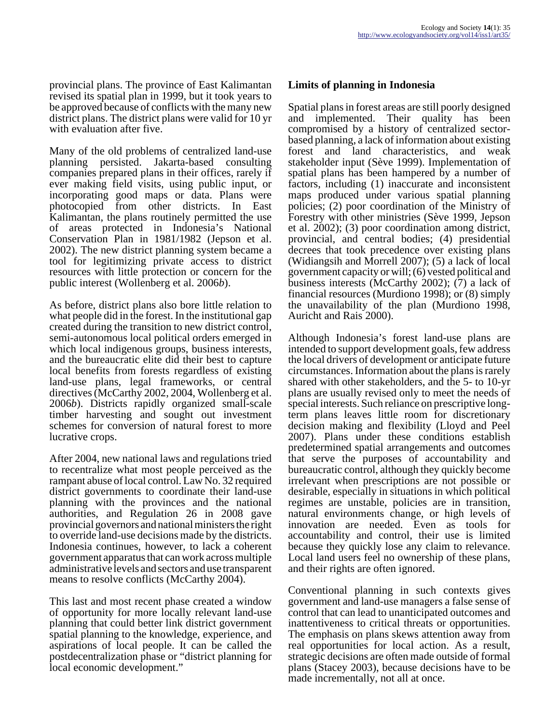provincial plans. The province of East Kalimantan revised its spatial plan in 1999, but it took years to be approved because of conflicts with the many new district plans. The district plans were valid for 10 yr with evaluation after five.

Many of the old problems of centralized land-use planning persisted. Jakarta-based consulting companies prepared plans in their offices, rarely if ever making field visits, using public input, or incorporating good maps or data. Plans were photocopied from other districts. In East Kalimantan, the plans routinely permitted the use of areas protected in Indonesia's National Conservation Plan in 1981/1982 (Jepson et al. 2002). The new district planning system became a tool for legitimizing private access to district resources with little protection or concern for the public interest (Wollenberg et al. 2006*b*).

As before, district plans also bore little relation to what people did in the forest. In the institutional gap created during the transition to new district control, semi-autonomous local political orders emerged in which local indigenous groups, business interests, and the bureaucratic elite did their best to capture local benefits from forests regardless of existing land-use plans, legal frameworks, or central directives (McCarthy 2002, 2004, Wollenberg et al. 2006*b*). Districts rapidly organized small-scale timber harvesting and sought out investment schemes for conversion of natural forest to more lucrative crops.

After 2004, new national laws and regulations tried to recentralize what most people perceived as the rampant abuse of local control. Law No. 32 required district governments to coordinate their land-use planning with the provinces and the national authorities, and Regulation 26 in 2008 gave provincial governors and national ministers the right to override land-use decisions made by the districts. Indonesia continues, however, to lack a coherent government apparatus that can work across multiple administrative levels and sectors and use transparent means to resolve conflicts (McCarthy 2004).

This last and most recent phase created a window of opportunity for more locally relevant land-use planning that could better link district government spatial planning to the knowledge, experience, and aspirations of local people. It can be called the postdecentralization phase or "district planning for local economic development."

## **Limits of planning in Indonesia**

Spatial plans in forest areas are still poorly designed and implemented. Their quality has been compromised by a history of centralized sectorbased planning, a lack of information about existing forest and land characteristics, and weak stakeholder input (Sève 1999). Implementation of spatial plans has been hampered by a number of factors, including (1) inaccurate and inconsistent maps produced under various spatial planning policies; (2) poor coordination of the Ministry of Forestry with other ministries (Sève 1999, Jepson et al. 2002); (3) poor coordination among district, provincial, and central bodies; (4) presidential decrees that took precedence over existing plans (Widiangsih and Morrell 2007); (5) a lack of local government capacity or will; (6) vested political and business interests (McCarthy 2002); (7) a lack of financial resources (Murdiono 1998); or (8) simply the unavailability of the plan (Murdiono 1998, Auricht and Rais 2000).

Although Indonesia's forest land-use plans are intended to support development goals, few address the local drivers of development or anticipate future circumstances. Information about the plans is rarely shared with other stakeholders, and the 5- to 10-yr plans are usually revised only to meet the needs of special interests. Such reliance on prescriptive longterm plans leaves little room for discretionary decision making and flexibility (Lloyd and Peel 2007). Plans under these conditions establish predetermined spatial arrangements and outcomes that serve the purposes of accountability and bureaucratic control, although they quickly become irrelevant when prescriptions are not possible or desirable, especially in situations in which political regimes are unstable, policies are in transition, natural environments change, or high levels of innovation are needed. Even as tools for accountability and control, their use is limited because they quickly lose any claim to relevance. Local land users feel no ownership of these plans, and their rights are often ignored.

Conventional planning in such contexts gives government and land-use managers a false sense of control that can lead to unanticipated outcomes and inattentiveness to critical threats or opportunities. The emphasis on plans skews attention away from real opportunities for local action. As a result, strategic decisions are often made outside of formal plans (Stacey 2003), because decisions have to be made incrementally, not all at once.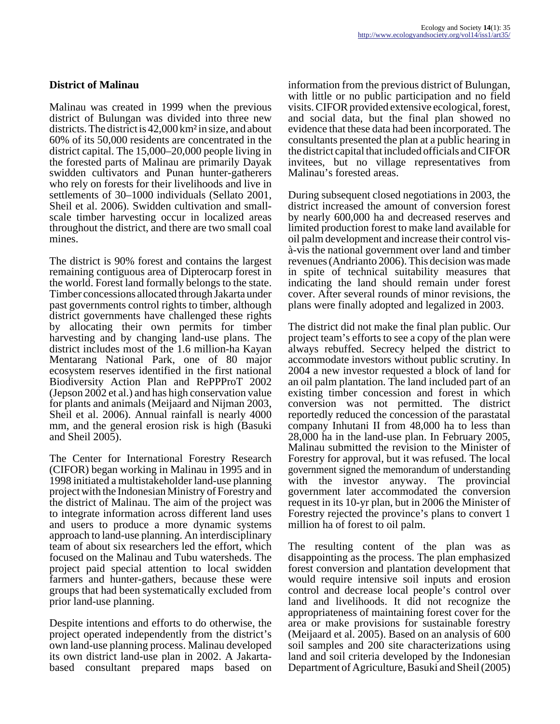## **District of Malinau**

Malinau was created in 1999 when the previous district of Bulungan was divided into three new districts. The district is 42,000 km² in size, and about 60% of its 50,000 residents are concentrated in the district capital. The 15,000–20,000 people living in the forested parts of Malinau are primarily Dayak swidden cultivators and Punan hunter-gatherers who rely on forests for their livelihoods and live in settlements of 30–1000 individuals (Sellato 2001, Sheil et al. 2006). Swidden cultivation and smallscale timber harvesting occur in localized areas throughout the district, and there are two small coal mines.

The district is 90% forest and contains the largest remaining contiguous area of Dipterocarp forest in the world. Forest land formally belongs to the state. Timber concessions allocated through Jakarta under past governments control rights to timber, although district governments have challenged these rights by allocating their own permits for timber harvesting and by changing land-use plans. The district includes most of the 1.6 million-ha Kayan Mentarang National Park, one of 80 major ecosystem reserves identified in the first national Biodiversity Action Plan and RePPProT 2002 (Jepson 2002 et al.) and has high conservation value for plants and animals (Meijaard and Nijman 2003, Sheil et al. 2006). Annual rainfall is nearly 4000 mm, and the general erosion risk is high (Basuki and Sheil 2005).

The Center for International Forestry Research (CIFOR) began working in Malinau in 1995 and in 1998 initiated a multistakeholder land-use planning project with the Indonesian Ministry of Forestry and the district of Malinau. The aim of the project was to integrate information across different land uses and users to produce a more dynamic systems approach to land-use planning. An interdisciplinary team of about six researchers led the effort, which focused on the Malinau and Tubu watersheds. The project paid special attention to local swidden farmers and hunter-gathers, because these were groups that had been systematically excluded from prior land-use planning.

Despite intentions and efforts to do otherwise, the project operated independently from the district's own land-use planning process. Malinau developed its own district land-use plan in 2002. A Jakartabased consultant prepared maps based on

information from the previous district of Bulungan, with little or no public participation and no field visits. CIFOR provided extensive ecological, forest, and social data, but the final plan showed no evidence that these data had been incorporated. The consultants presented the plan at a public hearing in the district capital that included officials and CIFOR invitees, but no village representatives from Malinau's forested areas.

During subsequent closed negotiations in 2003, the district increased the amount of conversion forest by nearly 600,000 ha and decreased reserves and limited production forest to make land available for oil palm development and increase their control visà-vis the national government over land and timber revenues (Andrianto 2006). This decision was made in spite of technical suitability measures that indicating the land should remain under forest cover. After several rounds of minor revisions, the plans were finally adopted and legalized in 2003.

The district did not make the final plan public. Our project team's efforts to see a copy of the plan were always rebuffed. Secrecy helped the district to accommodate investors without public scrutiny. In 2004 a new investor requested a block of land for an oil palm plantation. The land included part of an existing timber concession and forest in which conversion was not permitted. The district reportedly reduced the concession of the parastatal company Inhutani II from 48,000 ha to less than 28,000 ha in the land-use plan. In February 2005, Malinau submitted the revision to the Minister of Forestry for approval, but it was refused. The local government signed the memorandum of understanding with the investor anyway. The provincial government later accommodated the conversion request in its 10-yr plan, but in 2006 the Minister of Forestry rejected the province's plans to convert 1 million ha of forest to oil palm.

The resulting content of the plan was as disappointing as the process. The plan emphasized forest conversion and plantation development that would require intensive soil inputs and erosion control and decrease local people's control over land and livelihoods. It did not recognize the appropriateness of maintaining forest cover for the area or make provisions for sustainable forestry (Meijaard et al. 2005). Based on an analysis of 600 soil samples and 200 site characterizations using land and soil criteria developed by the Indonesian Department of Agriculture, Basuki and Sheil (2005)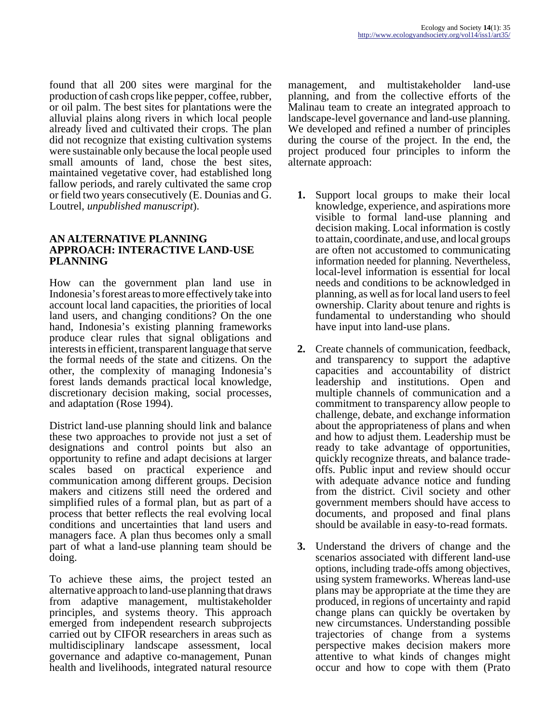found that all 200 sites were marginal for the production of cash crops like pepper, coffee, rubber, or oil palm. The best sites for plantations were the alluvial plains along rivers in which local people already lived and cultivated their crops. The plan did not recognize that existing cultivation systems were sustainable only because the local people used small amounts of land, chose the best sites, maintained vegetative cover, had established long fallow periods, and rarely cultivated the same crop or field two years consecutively (E. Dounias and G. Loutrel, *unpublished manuscript*).

#### **AN ALTERNATIVE PLANNING APPROACH: INTERACTIVE LAND-USE PLANNING**

How can the government plan land use in Indonesia's forest areas to more effectively take into account local land capacities, the priorities of local land users, and changing conditions? On the one hand, Indonesia's existing planning frameworks produce clear rules that signal obligations and interests in efficient, transparent language that serve the formal needs of the state and citizens. On the other, the complexity of managing Indonesia's forest lands demands practical local knowledge, discretionary decision making, social processes, and adaptation (Rose 1994).

District land-use planning should link and balance these two approaches to provide not just a set of designations and control points but also an opportunity to refine and adapt decisions at larger scales based on practical experience and communication among different groups. Decision makers and citizens still need the ordered and simplified rules of a formal plan, but as part of a process that better reflects the real evolving local conditions and uncertainties that land users and managers face. A plan thus becomes only a small part of what a land-use planning team should be doing.

To achieve these aims, the project tested an alternative approach to land-use planning that draws from adaptive management, multistakeholder principles, and systems theory. This approach emerged from independent research subprojects carried out by CIFOR researchers in areas such as multidisciplinary landscape assessment, local governance and adaptive co-management, Punan health and livelihoods, integrated natural resource

management, and multistakeholder land-use planning, and from the collective efforts of the Malinau team to create an integrated approach to landscape-level governance and land-use planning. We developed and refined a number of principles during the course of the project. In the end, the project produced four principles to inform the alternate approach:

- **1.** Support local groups to make their local knowledge, experience, and aspirations more visible to formal land-use planning and decision making. Local information is costly to attain, coordinate, and use, and local groups are often not accustomed to communicating information needed for planning. Nevertheless, local-level information is essential for local needs and conditions to be acknowledged in planning, as well as for local land users to feel ownership. Clarity about tenure and rights is fundamental to understanding who should have input into land-use plans.
- **2.** Create channels of communication, feedback, and transparency to support the adaptive capacities and accountability of district leadership and institutions. Open and multiple channels of communication and a commitment to transparency allow people to challenge, debate, and exchange information about the appropriateness of plans and when and how to adjust them. Leadership must be ready to take advantage of opportunities, quickly recognize threats, and balance tradeoffs. Public input and review should occur with adequate advance notice and funding from the district. Civil society and other government members should have access to documents, and proposed and final plans should be available in easy-to-read formats.
- **3.** Understand the drivers of change and the scenarios associated with different land-use options, including trade-offs among objectives, using system frameworks. Whereas land-use plans may be appropriate at the time they are produced, in regions of uncertainty and rapid change plans can quickly be overtaken by new circumstances. Understanding possible trajectories of change from a systems perspective makes decision makers more attentive to what kinds of changes might occur and how to cope with them (Prato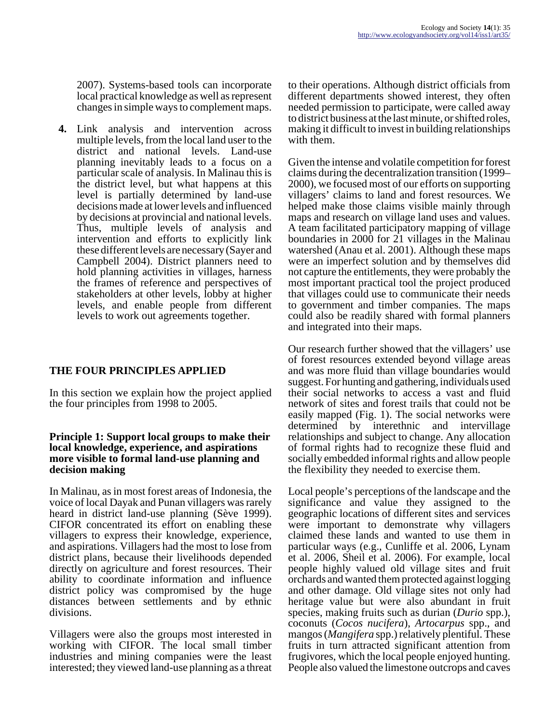2007). Systems-based tools can incorporate local practical knowledge as well as represent changes in simple ways to complement maps.

**4.** Link analysis and intervention across multiple levels, from the local land user to the district and national levels. Land-use planning inevitably leads to a focus on a particular scale of analysis. In Malinau this is the district level, but what happens at this level is partially determined by land-use decisions made at lower levels and influenced by decisions at provincial and national levels. Thus, multiple levels of analysis and intervention and efforts to explicitly link these different levels are necessary (Sayer and Campbell 2004). District planners need to hold planning activities in villages, harness the frames of reference and perspectives of stakeholders at other levels, lobby at higher levels, and enable people from different levels to work out agreements together.

## **THE FOUR PRINCIPLES APPLIED**

In this section we explain how the project applied the four principles from 1998 to 2005.

#### **Principle 1: Support local groups to make their local knowledge, experience, and aspirations more visible to formal land-use planning and decision making**

In Malinau, as in most forest areas of Indonesia, the voice of local Dayak and Punan villagers was rarely heard in district land-use planning (Sève 1999). CIFOR concentrated its effort on enabling these villagers to express their knowledge, experience, and aspirations. Villagers had the most to lose from district plans, because their livelihoods depended directly on agriculture and forest resources. Their ability to coordinate information and influence district policy was compromised by the huge distances between settlements and by ethnic divisions.

Villagers were also the groups most interested in working with CIFOR. The local small timber industries and mining companies were the least interested; they viewed land-use planning as a threat

to their operations. Although district officials from different departments showed interest, they often needed permission to participate, were called away to district business at the last minute, or shifted roles, making it difficult to invest in building relationships with them.

Given the intense and volatile competition for forest claims during the decentralization transition (1999– 2000), we focused most of our efforts on supporting villagers' claims to land and forest resources. We helped make those claims visible mainly through maps and research on village land uses and values. A team facilitated participatory mapping of village boundaries in 2000 for 21 villages in the Malinau watershed (Anau et al. 2001). Although these maps were an imperfect solution and by themselves did not capture the entitlements, they were probably the most important practical tool the project produced that villages could use to communicate their needs to government and timber companies. The maps could also be readily shared with formal planners and integrated into their maps.

Our research further showed that the villagers' use of forest resources extended beyond village areas and was more fluid than village boundaries would suggest. For hunting and gathering, individuals used their social networks to access a vast and fluid network of sites and forest trails that could not be easily mapped (Fig. 1). The social networks were determined by interethnic and intervillage relationships and subject to change. Any allocation of formal rights had to recognize these fluid and socially embedded informal rights and allow people the flexibility they needed to exercise them.

Local people's perceptions of the landscape and the significance and value they assigned to the geographic locations of different sites and services were important to demonstrate why villagers claimed these lands and wanted to use them in particular ways (e.g., Cunliffe et al. 2006, Lynam et al. 2006, Sheil et al. 2006). For example, local people highly valued old village sites and fruit orchards and wanted them protected against logging and other damage. Old village sites not only had heritage value but were also abundant in fruit species, making fruits such as durian (*Durio* spp.), coconuts (*Cocos nucifera*), *Artocarpus* spp., and mangos (*Mangifera* spp.) relatively plentiful. These fruits in turn attracted significant attention from frugivores, which the local people enjoyed hunting. People also valued the limestone outcrops and caves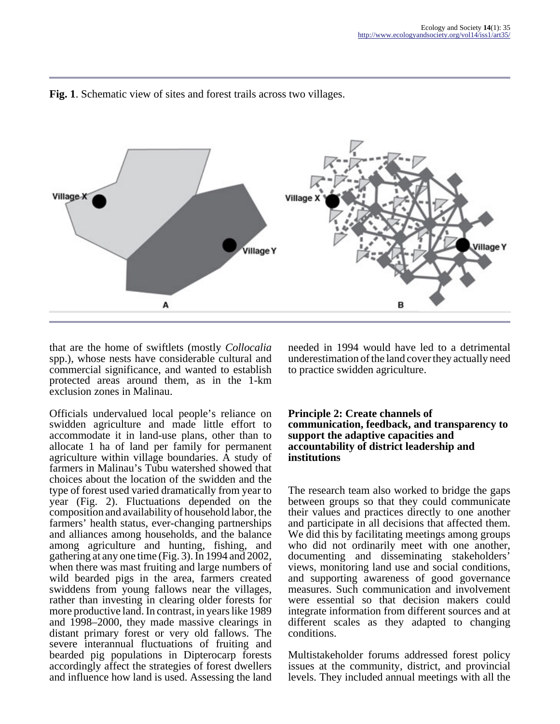

**Fig. 1**. Schematic view of sites and forest trails across two villages.

that are the home of swiftlets (mostly *Collocalia* spp.), whose nests have considerable cultural and commercial significance, and wanted to establish protected areas around them, as in the 1-km exclusion zones in Malinau.

Officials undervalued local people's reliance on swidden agriculture and made little effort to accommodate it in land-use plans, other than to allocate 1 ha of land per family for permanent agriculture within village boundaries. A study of farmers in Malinau's Tubu watershed showed that choices about the location of the swidden and the type of forest used varied dramatically from year to year (Fig. 2). Fluctuations depended on the composition and availability of household labor, the farmers' health status, ever-changing partnerships and alliances among households, and the balance among agriculture and hunting, fishing, and gathering at any one time (Fig. 3). In 1994 and 2002, when there was mast fruiting and large numbers of wild bearded pigs in the area, farmers created swiddens from young fallows near the villages, rather than investing in clearing older forests for more productive land. In contrast, in years like 1989 and 1998–2000, they made massive clearings in distant primary forest or very old fallows. The severe interannual fluctuations of fruiting and bearded pig populations in Dipterocarp forests accordingly affect the strategies of forest dwellers and influence how land is used. Assessing the land

needed in 1994 would have led to a detrimental underestimation of the land cover they actually need to practice swidden agriculture.

#### **Principle 2: Create channels of communication, feedback, and transparency to support the adaptive capacities and accountability of district leadership and institutions**

The research team also worked to bridge the gaps between groups so that they could communicate their values and practices directly to one another and participate in all decisions that affected them. We did this by facilitating meetings among groups who did not ordinarily meet with one another, documenting and disseminating stakeholders' views, monitoring land use and social conditions, and supporting awareness of good governance measures. Such communication and involvement were essential so that decision makers could integrate information from different sources and at different scales as they adapted to changing conditions.

Multistakeholder forums addressed forest policy issues at the community, district, and provincial levels. They included annual meetings with all the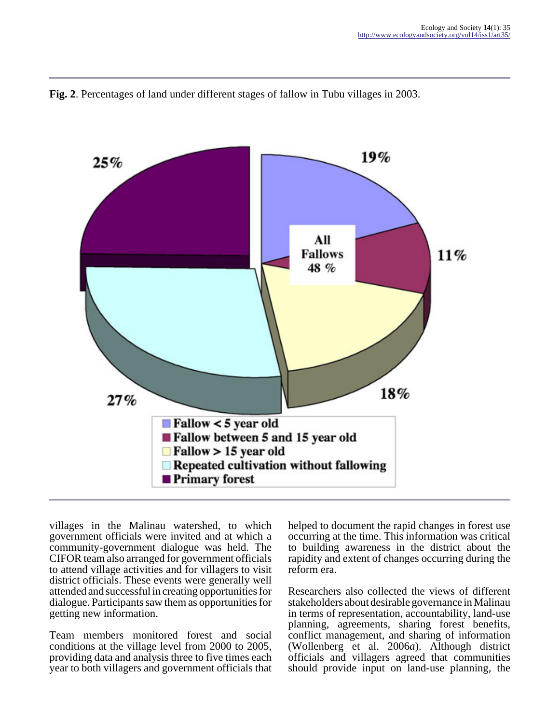

**Fig. 2**. Percentages of land under different stages of fallow in Tubu villages in 2003.

villages in the Malinau watershed, to which government officials were invited and at which a community-government dialogue was held. The CIFOR team also arranged for government officials to attend village activities and for villagers to visit district officials. These events were generally well attended and successful in creating opportunities for dialogue. Participants saw them as opportunities for getting new information.

Team members monitored forest and social conditions at the village level from 2000 to 2005, providing data and analysis three to five times each year to both villagers and government officials that helped to document the rapid changes in forest use occurring at the time. This information was critical to building awareness in the district about the rapidity and extent of changes occurring during the reform era.

Researchers also collected the views of different stakeholders about desirable governance in Malinau in terms of representation, accountability, land-use planning, agreements, sharing forest benefits, conflict management, and sharing of information (Wollenberg et al. 2006*a*). Although district officials and villagers agreed that communities should provide input on land-use planning, the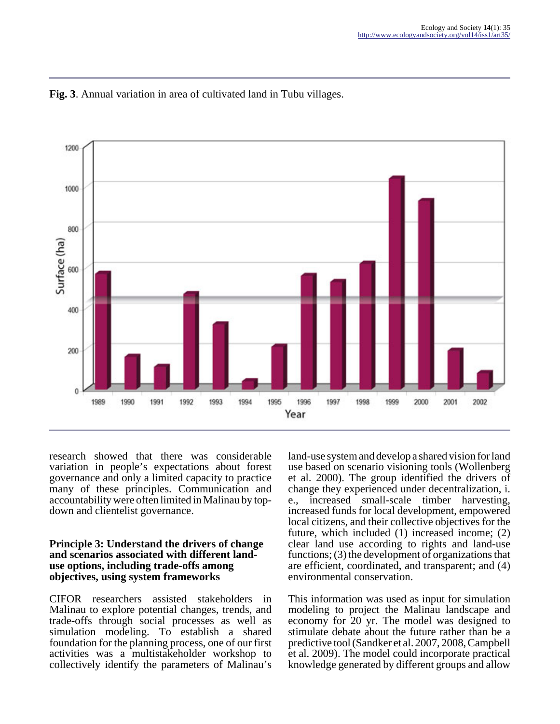

## **Fig. 3**. Annual variation in area of cultivated land in Tubu villages.

research showed that there was considerable variation in people's expectations about forest governance and only a limited capacity to practice many of these principles. Communication and accountability were often limited in Malinau by topdown and clientelist governance.

#### **Principle 3: Understand the drivers of change and scenarios associated with different landuse options, including trade-offs among objectives, using system frameworks**

CIFOR researchers assisted stakeholders in Malinau to explore potential changes, trends, and trade-offs through social processes as well as simulation modeling. To establish a shared foundation for the planning process, one of our first activities was a multistakeholder workshop to collectively identify the parameters of Malinau's

land-use system and develop a shared vision for land use based on scenario visioning tools (Wollenberg et al. 2000). The group identified the drivers of change they experienced under decentralization, i. e., increased small-scale timber harvesting, increased funds for local development, empowered local citizens, and their collective objectives for the future, which included (1) increased income; (2) clear land use according to rights and land-use functions; (3) the development of organizations that are efficient, coordinated, and transparent; and (4) environmental conservation.

This information was used as input for simulation modeling to project the Malinau landscape and economy for 20 yr. The model was designed to stimulate debate about the future rather than be a predictive tool (Sandker et al. 2007, 2008, Campbell et al. 2009). The model could incorporate practical knowledge generated by different groups and allow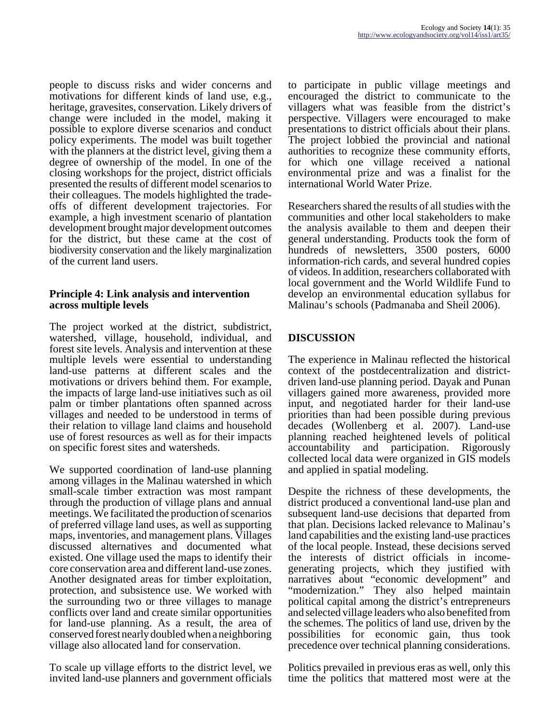people to discuss risks and wider concerns and motivations for different kinds of land use, e.g., heritage, gravesites, conservation. Likely drivers of change were included in the model, making it possible to explore diverse scenarios and conduct policy experiments. The model was built together with the planners at the district level, giving them a degree of ownership of the model. In one of the closing workshops for the project, district officials presented the results of different model scenarios to their colleagues. The models highlighted the tradeoffs of different development trajectories. For example, a high investment scenario of plantation development brought major development outcomes for the district, but these came at the cost of biodiversity conservation and the likely marginalization of the current land users.

### **Principle 4: Link analysis and intervention across multiple levels**

The project worked at the district, subdistrict, watershed, village, household, individual, and forest site levels. Analysis and intervention at these multiple levels were essential to understanding land-use patterns at different scales and the motivations or drivers behind them. For example, the impacts of large land-use initiatives such as oil palm or timber plantations often spanned across villages and needed to be understood in terms of their relation to village land claims and household use of forest resources as well as for their impacts on specific forest sites and watersheds.

We supported coordination of land-use planning among villages in the Malinau watershed in which small-scale timber extraction was most rampant through the production of village plans and annual meetings. We facilitated the production of scenarios of preferred village land uses, as well as supporting maps, inventories, and management plans. Villages discussed alternatives and documented what existed. One village used the maps to identify their core conservation area and different land-use zones. Another designated areas for timber exploitation, protection, and subsistence use. We worked with the surrounding two or three villages to manage conflicts over land and create similar opportunities for land-use planning. As a result, the area of conserved forest nearly doubled when a neighboring village also allocated land for conservation.

To scale up village efforts to the district level, we invited land-use planners and government officials

to participate in public village meetings and encouraged the district to communicate to the villagers what was feasible from the district's perspective. Villagers were encouraged to make presentations to district officials about their plans. The project lobbied the provincial and national authorities to recognize these community efforts, for which one village received a national environmental prize and was a finalist for the international World Water Prize.

Researchers shared the results of all studies with the communities and other local stakeholders to make the analysis available to them and deepen their general understanding. Products took the form of hundreds of newsletters, 3500 posters, 6000 information-rich cards, and several hundred copies of videos. In addition, researchers collaborated with local government and the World Wildlife Fund to develop an environmental education syllabus for Malinau's schools (Padmanaba and Sheil 2006).

## **DISCUSSION**

The experience in Malinau reflected the historical context of the postdecentralization and districtdriven land-use planning period. Dayak and Punan villagers gained more awareness, provided more input, and negotiated harder for their land-use priorities than had been possible during previous decades (Wollenberg et al. 2007). Land-use planning reached heightened levels of political accountability and participation. Rigorously collected local data were organized in GIS models and applied in spatial modeling.

Despite the richness of these developments, the district produced a conventional land-use plan and subsequent land-use decisions that departed from that plan. Decisions lacked relevance to Malinau's land capabilities and the existing land-use practices of the local people. Instead, these decisions served the interests of district officials in incomegenerating projects, which they justified with narratives about "economic development" and "modernization." They also helped maintain political capital among the district's entrepreneurs and selected village leaders who also benefited from the schemes. The politics of land use, driven by the possibilities for economic gain, thus took precedence over technical planning considerations.

Politics prevailed in previous eras as well, only this time the politics that mattered most were at the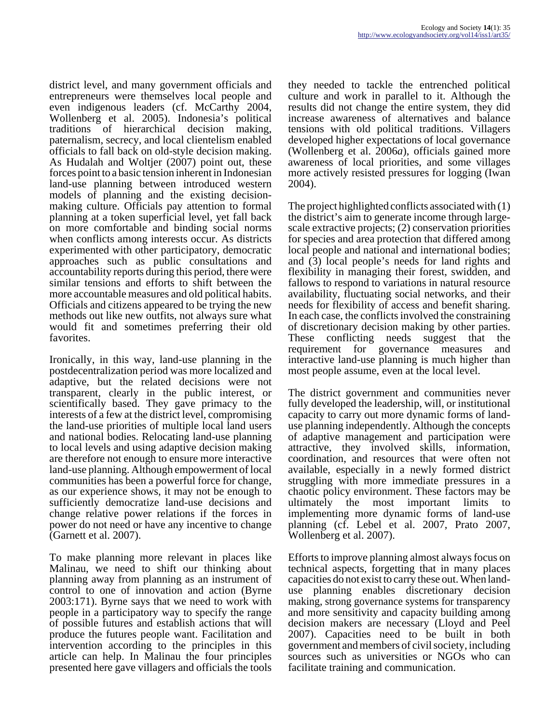district level, and many government officials and entrepreneurs were themselves local people and even indigenous leaders (cf. McCarthy 2004, Wollenberg et al. 2005). Indonesia's political traditions of hierarchical decision making, paternalism, secrecy, and local clientelism enabled officials to fall back on old-style decision making. As Hudalah and Woltjer (2007) point out, these forces point to a basic tension inherent in Indonesian land-use planning between introduced western models of planning and the existing decisionmaking culture. Officials pay attention to formal planning at a token superficial level, yet fall back on more comfortable and binding social norms when conflicts among interests occur. As districts experimented with other participatory, democratic approaches such as public consultations and accountability reports during this period, there were similar tensions and efforts to shift between the more accountable measures and old political habits. Officials and citizens appeared to be trying the new methods out like new outfits, not always sure what would fit and sometimes preferring their old favorites.

Ironically, in this way, land-use planning in the postdecentralization period was more localized and adaptive, but the related decisions were not transparent, clearly in the public interest, or scientifically based. They gave primacy to the interests of a few at the district level, compromising the land-use priorities of multiple local land users and national bodies. Relocating land-use planning to local levels and using adaptive decision making are therefore not enough to ensure more interactive land-use planning. Although empowerment of local communities has been a powerful force for change, as our experience shows, it may not be enough to sufficiently democratize land-use decisions and change relative power relations if the forces in power do not need or have any incentive to change (Garnett et al. 2007).

To make planning more relevant in places like Malinau, we need to shift our thinking about planning away from planning as an instrument of control to one of innovation and action (Byrne 2003:171). Byrne says that we need to work with people in a participatory way to specify the range of possible futures and establish actions that will produce the futures people want. Facilitation and intervention according to the principles in this article can help. In Malinau the four principles presented here gave villagers and officials the tools

they needed to tackle the entrenched political culture and work in parallel to it. Although the results did not change the entire system, they did increase awareness of alternatives and balance tensions with old political traditions. Villagers developed higher expectations of local governance (Wollenberg et al. 2006*a*), officials gained more awareness of local priorities, and some villages more actively resisted pressures for logging (Iwan 2004).

The project highlighted conflicts associated with (1) the district's aim to generate income through largescale extractive projects; (2) conservation priorities for species and area protection that differed among local people and national and international bodies; and (3) local people's needs for land rights and flexibility in managing their forest, swidden, and fallows to respond to variations in natural resource availability, fluctuating social networks, and their needs for flexibility of access and benefit sharing. In each case, the conflicts involved the constraining of discretionary decision making by other parties. These conflicting needs suggest that the requirement for governance measures and interactive land-use planning is much higher than most people assume, even at the local level.

The district government and communities never fully developed the leadership, will, or institutional capacity to carry out more dynamic forms of landuse planning independently. Although the concepts of adaptive management and participation were attractive, they involved skills, information, coordination, and resources that were often not available, especially in a newly formed district struggling with more immediate pressures in a chaotic policy environment. These factors may be ultimately the most important limits to implementing more dynamic forms of land-use planning (cf. Lebel et al. 2007, Prato 2007, Wollenberg et al. 2007).

Efforts to improve planning almost always focus on technical aspects, forgetting that in many places capacities do not exist to carry these out. When landuse planning enables discretionary decision making, strong governance systems for transparency and more sensitivity and capacity building among decision makers are necessary (Lloyd and Peel 2007). Capacities need to be built in both government and members of civil society, including sources such as universities or NGOs who can facilitate training and communication.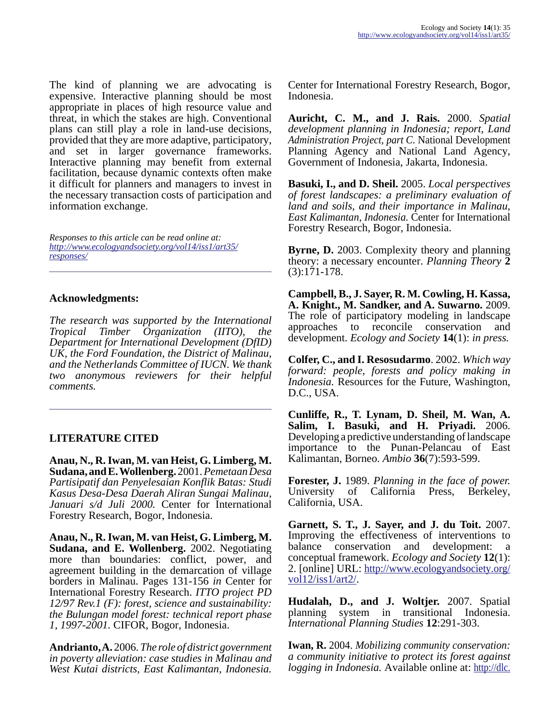The kind of planning we are advocating is expensive. Interactive planning should be most appropriate in places of high resource value and threat, in which the stakes are high. Conventional plans can still play a role in land-use decisions, provided that they are more adaptive, participatory, and set in larger governance frameworks. Interactive planning may benefit from external facilitation, because dynamic contexts often make it difficult for planners and managers to invest in the necessary transaction costs of participation and information exchange.

*Responses to this article can be read online at: [http://www](http://www.ecologyandsociety.org/vol14/iss1/art35/responses/).ecologyandsociety.org/vol14/iss1/art35/ responses/*

### **Acknowledgments:**

*The research was supported by the International Tropical Timber Organization (IITO), the Department for International Development (DfID) UK, the Ford Foundation, the District of Malinau, and the Netherlands Committee of IUCN. We thank two anonymous reviewers for their helpful comments.* 

## **LITERATURE CITED**

**Anau, N., R. Iwan, M. van Heist, G. Limberg, M. Sudana, and E. Wollenberg.** 2001. *Pemetaan Desa Partisipatif dan Penyelesaian Konflik Batas: Studi Kasus Desa-Desa Daerah Aliran Sungai Malinau, Januari s/d Juli 2000.* Center for International Forestry Research, Bogor, Indonesia.

**Anau, N., R. Iwan, M. van Heist, G. Limberg, M. Sudana, and E. Wollenberg.** 2002. Negotiating more than boundaries: conflict, power, and agreement building in the demarcation of village borders in Malinau. Pages 131-156 *in* Center for International Forestry Research. *ITTO project PD 12/97 Rev.1 (F): forest, science and sustainability: the Bulungan model forest: technical report phase 1, 1997-2001.* CIFOR, Bogor, Indonesia.

**Andrianto, A.** 2006. *The role of district government in poverty alleviation: case studies in Malinau and West Kutai districts, East Kalimantan, Indonesia.*

Center for International Forestry Research, Bogor, Indonesia.

**Auricht, C. M., and J. Rais.** 2000. *Spatial development planning in Indonesia; report, Land Administration Project, part C.* National Development Planning Agency and National Land Agency, Government of Indonesia, Jakarta, Indonesia.

**Basuki, I., and D. Sheil.** 2005. *Local perspectives of forest landscapes: a preliminary evaluation of land and soils, and their importance in Malinau, East Kalimantan, Indonesia.* Center for International Forestry Research, Bogor, Indonesia.

**Byrne, D.** 2003. Complexity theory and planning theory: a necessary encounter. *Planning Theory* **2** (3):171-178.

**Campbell, B., J. Sayer, R. M. Cowling, H. Kassa, A. Knight., M. Sandker, and A. Suwarno.** 2009. The role of participatory modeling in landscape approaches to reconcile conservation and development. *Ecology and Society* **14**(1): *in press.*

**Colfer, C., and I. Resosudarmo**. 2002. *Which way forward: people, forests and policy making in Indonesia.* Resources for the Future, Washington, D.C., USA.

**Cunliffe, R., T. Lynam, D. Sheil, M. Wan, A. Salim, I. Basuki, and H. Priyadi.** 2006. Developing a predictive understanding of landscape importance to the Punan-Pelancau of East Kalimantan, Borneo. *Ambio* **36**(7):593-599.

**Forester, J.** 1989. *Planning in the face of power.* University of California Press, Berkeley, California, USA.

**Garnett, S. T., J. Sayer, and J. du Toit.** 2007. Improving the effectiveness of interventions to balance conservation and development: conceptual framework. *Ecology and Society* **12**(1): 2. [online] URL: [http://www.ecologyandsociety.org/](http://www.ecologyandsociety.org/vol12/iss1/art2/) [vol12/iss1/art2/.](http://www.ecologyandsociety.org/vol12/iss1/art2/)

**Hudalah, D., and J. Woltjer.** 2007. Spatial planning system in transitional Indonesia. *International Planning Studies* **12**:291-303.

**Iwan, R.** 2004. *Mobilizing community conservation: a community initiative to protect its forest against logging in Indonesia.* Available online at: http://dlc.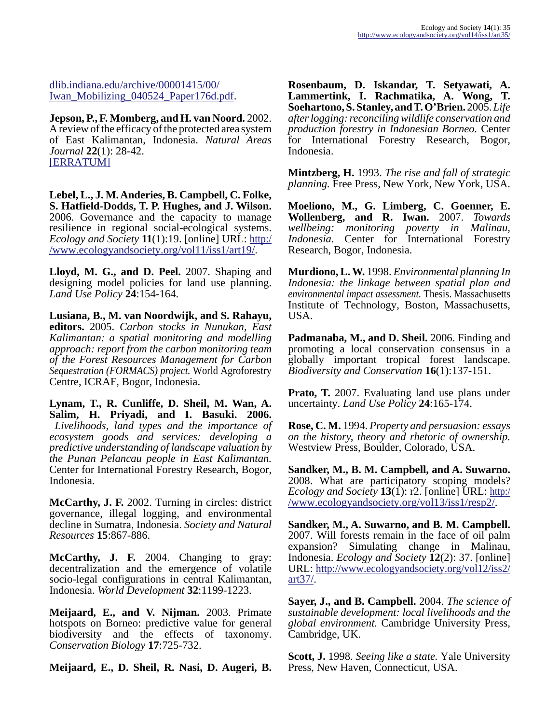dlib.indiana.edu/archive/00001415/00/ [Iwan\\_Mobilizing\\_040524\\_Paper176d.pdf.](http://dlc.dlib.indiana.edu/archive/00001415/00/Iwan_Mobilizing_040524_Paper176d.pdf)

**Jepson, P., F. Momberg, and H. van Noord.** 2002. A review of the efficacy of the protected area system of East Kalimantan, Indonesia. *Natural Areas Journal* **22**(1): 28-42. [\[ERRATUM\]](http://www.ecologyandsociety.org/vol14/iss1/art35/errata.html)

**Lebel, L., J. M. Anderies, B. Campbell, C. Folke, S. Hatfield-Dodds, T. P. Hughes, and J. Wilson.** 2006. Governance and the capacity to manage resilience in regional social-ecological systems. *Ecology and Society* **11**(1):19. [online] URL: [http:/](http://www.ecologyandsociety.org/vol11/iss1/art19/) [/www.ecologyandsociety.org/vol11/iss1/art19/.](http://www.ecologyandsociety.org/vol11/iss1/art19/)

**Lloyd, M. G., and D. Peel.** 2007. Shaping and designing model policies for land use planning. *Land Use Policy* **24**:154-164.

**Lusiana, B., M. van Noordwijk, and S. Rahayu, editors.** 2005. *Carbon stocks in Nunukan, East Kalimantan: a spatial monitoring and modelling approach: report from the carbon monitoring team of the Forest Resources Management for Carbon Sequestration (FORMACS) project.* World Agroforestry Centre, ICRAF, Bogor, Indonesia.

**Lynam, T., R. Cunliffe, D. Sheil, M. Wan, A. Salim, H. Priyadi, and I. Basuki. 2006.** *Livelihoods, land types and the importance of ecosystem goods and services: developing a predictive understanding of landscape valuation by the Punan Pelancau people in East Kalimantan.* Center for International Forestry Research, Bogor, Indonesia.

**McCarthy, J. F.** 2002. Turning in circles: district governance, illegal logging, and environmental decline in Sumatra, Indonesia. *Society and Natural Resources* **15**:867-886.

**McCarthy, J. F.** 2004. Changing to gray: decentralization and the emergence of volatile socio-legal configurations in central Kalimantan, Indonesia. *World Development* **32**:1199-1223.

**Meijaard, E., and V. Nijman.** 2003. Primate hotspots on Borneo: predictive value for general biodiversity and the effects of taxonomy. *Conservation Biology* **17**:725-732.

**Meijaard, E., D. Sheil, R. Nasi, D. Augeri, B.**

**Rosenbaum, D. Iskandar, T. Setyawati, A. Lammertink, I. Rachmatika, A. Wong, T. Soehartono, S. Stanley, and T. O'Brien.** 2005. *Life after logging: reconciling wildlife conservation and production forestry in Indonesian Borneo.* Center for International Forestry Research, Bogor, Indonesia.

**Mintzberg, H.** 1993. *The rise and fall of strategic planning.* Free Press, New York, New York, USA.

**Moeliono, M., G. Limberg, C. Goenner, E. Wollenberg, and R. Iwan.** 2007. *Towards wellbeing: monitoring poverty in Malinau, Indonesia.* Center for International Forestry Research, Bogor, Indonesia.

**Murdiono, L. W.** 1998. *Environmental planning In Indonesia: the linkage between spatial plan and environmental impact assessment.* Thesis. Massachusetts Institute of Technology, Boston, Massachusetts, USA.

**Padmanaba, M., and D. Sheil.** 2006. Finding and promoting a local conservation consensus in a globally important tropical forest landscape. *Biodiversity and Conservation* **16**(1):137-151.

**Prato, T.** 2007. Evaluating land use plans under uncertainty. *Land Use Policy* **24**:165-174.

**Rose, C. M.** 1994. *Property and persuasion: essays on the history, theory and rhetoric of ownership.* Westview Press, Boulder, Colorado, USA.

**Sandker, M., B. M. Campbell, and A. Suwarno.** 2008. What are participatory scoping models? *Ecology and Society* **13**(1): r2. [online] URL: [http:/](http://www.ecologyandsociety.org/vol13/iss1/resp2/) [/www.ecologyandsociety.org/vol13/iss1/resp2/.](http://www.ecologyandsociety.org/vol13/iss1/resp2/)

**Sandker, M., A. Suwarno, and B. M. Campbell.** 2007. Will forests remain in the face of oil palm expansion? Simulating change in Malinau, Indonesia. *Ecology and Society* **12**(2): 37. [online] URL: [http://www.ecologyandsociety.org/vol12/iss2/](http://www.ecologyandsociety.org/vol12/iss2/art37/) [art37/.](http://www.ecologyandsociety.org/vol12/iss2/art37/)

**Sayer, J., and B. Campbell.** 2004. *The science of sustainable development: local livelihoods and the global environment.* Cambridge University Press, Cambridge, UK.

**Scott, J.** 1998. *Seeing like a state.* Yale University [Press, New Haven, Connecticut, USA.](http://dlc.dlib.indiana.edu/archive/00001415/00/Iwan_Mobilizing_040524_Paper176d.pdf)